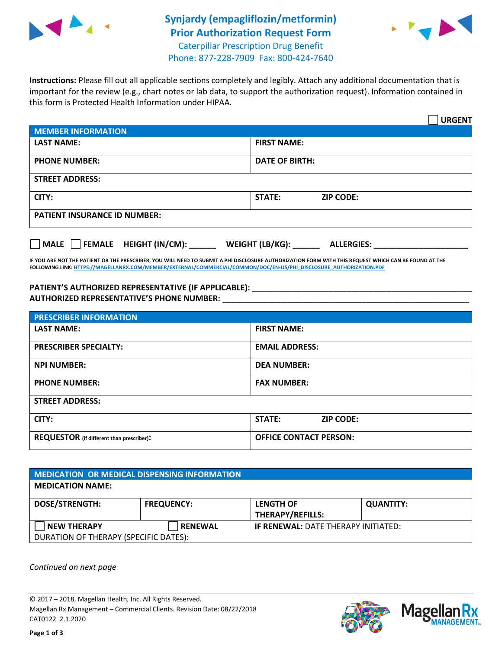

## **Synjardy (empagliflozin/metformin) Prior Authorization Request Form** Caterpillar Prescription Drug Benefit



Phone: 877-228-7909 Fax: 800-424-7640

**Instructions:** Please fill out all applicable sections completely and legibly. Attach any additional documentation that is important for the review (e.g., chart notes or lab data, to support the authorization request). Information contained in this form is Protected Health Information under HIPAA.

|                                                | <b>URGENT</b>                        |  |  |  |
|------------------------------------------------|--------------------------------------|--|--|--|
| <b>MEMBER INFORMATION</b>                      |                                      |  |  |  |
| <b>LAST NAME:</b>                              | <b>FIRST NAME:</b>                   |  |  |  |
| <b>PHONE NUMBER:</b>                           | <b>DATE OF BIRTH:</b>                |  |  |  |
| <b>STREET ADDRESS:</b>                         |                                      |  |  |  |
| CITY:                                          | <b>STATE:</b><br><b>ZIP CODE:</b>    |  |  |  |
| <b>PATIENT INSURANCE ID NUMBER:</b>            |                                      |  |  |  |
| $\Box$ FEMALE HEIGHT (IN/CM): _<br><b>MALE</b> | WEIGHT (LB/KG):<br><b>ALLERGIES:</b> |  |  |  |

**IF YOU ARE NOT THE PATIENT OR THE PRESCRIBER, YOU WILL NEED TO SUBMIT A PHI DISCLOSURE AUTHORIZATION FORM WITH THIS REQUEST WHICH CAN BE FOUND AT THE FOLLOWING LINK[: HTTPS://MAGELLANRX.COM/MEMBER/EXTERNAL/COMMERCIAL/COMMON/DOC/EN-US/PHI\\_DISCLOSURE\\_AUTHORIZATION.PDF](https://magellanrx.com/member/external/commercial/common/doc/en-us/PHI_Disclosure_Authorization.pdf)**

PATIENT'S AUTHORIZED REPRESENTATIVE (IF APPLICABLE): \_\_\_\_\_\_\_\_\_\_\_\_\_\_\_\_\_\_\_\_\_\_\_\_\_\_\_ **AUTHORIZED REPRESENTATIVE'S PHONE NUMBER:** \_\_\_\_\_\_\_\_\_\_\_\_\_\_\_\_\_\_\_\_\_\_\_\_\_\_\_\_\_\_\_\_\_\_\_\_\_\_\_\_\_\_\_\_\_\_\_\_\_\_\_\_\_\_\_

| <b>PRESCRIBER INFORMATION</b>             |                               |  |  |  |
|-------------------------------------------|-------------------------------|--|--|--|
| <b>LAST NAME:</b>                         | <b>FIRST NAME:</b>            |  |  |  |
| <b>PRESCRIBER SPECIALTY:</b>              | <b>EMAIL ADDRESS:</b>         |  |  |  |
| <b>NPI NUMBER:</b>                        | <b>DEA NUMBER:</b>            |  |  |  |
| <b>PHONE NUMBER:</b>                      | <b>FAX NUMBER:</b>            |  |  |  |
| <b>STREET ADDRESS:</b>                    |                               |  |  |  |
| CITY:                                     | STATE:<br><b>ZIP CODE:</b>    |  |  |  |
| REQUESTOR (if different than prescriber): | <b>OFFICE CONTACT PERSON:</b> |  |  |  |

| <b>MEDICATION OR MEDICAL DISPENSING INFORMATION</b> |                   |                                            |                  |  |  |
|-----------------------------------------------------|-------------------|--------------------------------------------|------------------|--|--|
| <b>MEDICATION NAME:</b>                             |                   |                                            |                  |  |  |
| <b>DOSE/STRENGTH:</b>                               | <b>FREQUENCY:</b> | <b>LENGTH OF</b>                           | <b>QUANTITY:</b> |  |  |
|                                                     |                   | <b>THERAPY/REFILLS:</b>                    |                  |  |  |
| <b>NEW THERAPY</b>                                  | <b>RENEWAL</b>    | <b>IF RENEWAL: DATE THERAPY INITIATED:</b> |                  |  |  |
| DURATION OF THERAPY (SPECIFIC DATES):               |                   |                                            |                  |  |  |

*Continued on next page*

© 2017 – 2018, Magellan Health, Inc. All Rights Reserved. Magellan Rx Management – Commercial Clients. Revision Date: 08/22/2018 CAT0122 2.1.2020



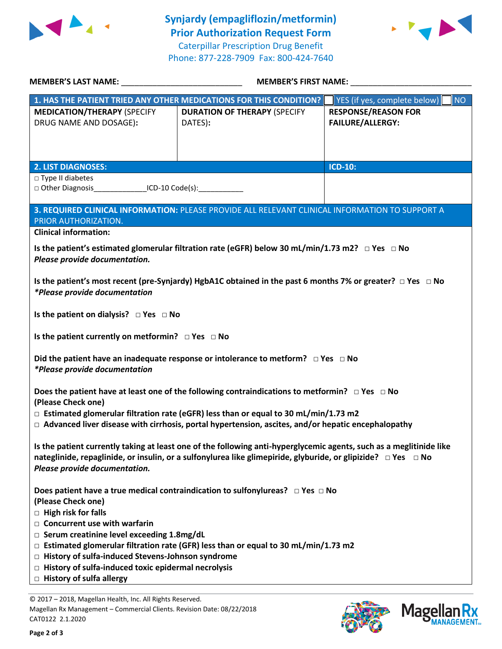

**Synjardy (empagliflozin/metformin) Prior Authorization Request Form** Caterpillar Prescription Drug Benefit Phone: 877-228-7909 Fax: 800-424-7640



| MEMBER'S LAST NAME: NAME: NAME AND A SERIES OF THE SERIES OF THE SERIES OF THE SERIES OF THE SERIES OF THE SERIES OF THE SERIES OF THE SERIES OF THE SERIES OF THE SERIES OF THE SERIES OF THE SERIES OF THE SERIES OF THE SER                                                  | <b>MEMBER'S FIRST NAME:</b>                                                                     |                                                       |  |  |
|---------------------------------------------------------------------------------------------------------------------------------------------------------------------------------------------------------------------------------------------------------------------------------|-------------------------------------------------------------------------------------------------|-------------------------------------------------------|--|--|
|                                                                                                                                                                                                                                                                                 | 1. HAS THE PATIENT TRIED ANY OTHER MEDICATIONS FOR THIS CONDITION?                              | YES (if yes, complete below)<br><b>NO</b>             |  |  |
| <b>MEDICATION/THERAPY (SPECIFY</b><br>DRUG NAME AND DOSAGE):                                                                                                                                                                                                                    | <b>DURATION OF THERAPY (SPECIFY</b><br>DATES):                                                  | <b>RESPONSE/REASON FOR</b><br><b>FAILURE/ALLERGY:</b> |  |  |
| <b>2. LIST DIAGNOSES:</b>                                                                                                                                                                                                                                                       |                                                                                                 | <b>ICD-10:</b>                                        |  |  |
| $\Box$ Type II diabetes<br>□ Other Diagnosis ___________________ICD-10 Code(s):___________________________                                                                                                                                                                      |                                                                                                 |                                                       |  |  |
| PRIOR AUTHORIZATION.                                                                                                                                                                                                                                                            | 3. REQUIRED CLINICAL INFORMATION: PLEASE PROVIDE ALL RELEVANT CLINICAL INFORMATION TO SUPPORT A |                                                       |  |  |
| <b>Clinical information:</b>                                                                                                                                                                                                                                                    |                                                                                                 |                                                       |  |  |
| Is the patient's estimated glomerular filtration rate (eGFR) below 30 mL/min/1.73 m2? $\Box$ Yes $\Box$ No<br>Please provide documentation.                                                                                                                                     |                                                                                                 |                                                       |  |  |
| Is the patient's most recent (pre-Synjardy) HgbA1C obtained in the past 6 months 7% or greater? $\Box$ Yes $\Box$ No<br>*Please provide documentation                                                                                                                           |                                                                                                 |                                                       |  |  |
| Is the patient on dialysis? $\Box$ Yes $\Box$ No                                                                                                                                                                                                                                |                                                                                                 |                                                       |  |  |
| Is the patient currently on metformin? $\Box$ Yes $\Box$ No                                                                                                                                                                                                                     |                                                                                                 |                                                       |  |  |
| Did the patient have an inadequate response or intolerance to metform? $\Box$ Yes $\Box$ No<br>*Please provide documentation                                                                                                                                                    |                                                                                                 |                                                       |  |  |
| Does the patient have at least one of the following contraindications to metformin? $\Box$ Yes $\Box$ No<br>(Please Check one)                                                                                                                                                  |                                                                                                 |                                                       |  |  |
| $\Box$ Estimated glomerular filtration rate (eGFR) less than or equal to 30 mL/min/1.73 m2<br>$\Box$ Advanced liver disease with cirrhosis, portal hypertension, ascites, and/or hepatic encephalopathy                                                                         |                                                                                                 |                                                       |  |  |
| Is the patient currently taking at least one of the following anti-hyperglycemic agents, such as a meglitinide like<br>nateglinide, repaglinide, or insulin, or a sulfonylurea like glimepiride, glyburide, or glipizide? $\Box$ Yes $\Box$ No<br>Please provide documentation. |                                                                                                 |                                                       |  |  |
| (Please Check one)<br>$\Box$ High risk for falls                                                                                                                                                                                                                                | Does patient have a true medical contraindication to sulfonylureas? $\Box$ Yes $\Box$ No        |                                                       |  |  |
| $\Box$ Concurrent use with warfarin                                                                                                                                                                                                                                             |                                                                                                 |                                                       |  |  |
| □ Serum creatinine level exceeding 1.8mg/dL                                                                                                                                                                                                                                     |                                                                                                 |                                                       |  |  |
|                                                                                                                                                                                                                                                                                 |                                                                                                 |                                                       |  |  |
| $\Box$ Estimated glomerular filtration rate (GFR) less than or equal to 30 mL/min/1.73 m2<br>□ History of sulfa-induced Stevens-Johnson syndrome                                                                                                                                |                                                                                                 |                                                       |  |  |
| $\Box$ History of sulfa-induced toxic epidermal necrolysis                                                                                                                                                                                                                      |                                                                                                 |                                                       |  |  |
| $\Box$ History of sulfa allergy                                                                                                                                                                                                                                                 |                                                                                                 |                                                       |  |  |
|                                                                                                                                                                                                                                                                                 |                                                                                                 |                                                       |  |  |
| © 2017 - 2018, Magellan Health, Inc. All Rights Reserved.                                                                                                                                                                                                                       |                                                                                                 |                                                       |  |  |

Magellan Rx Management – Commercial Clients. Revision Date: 08/22/2018 CAT0122 2.1.2020